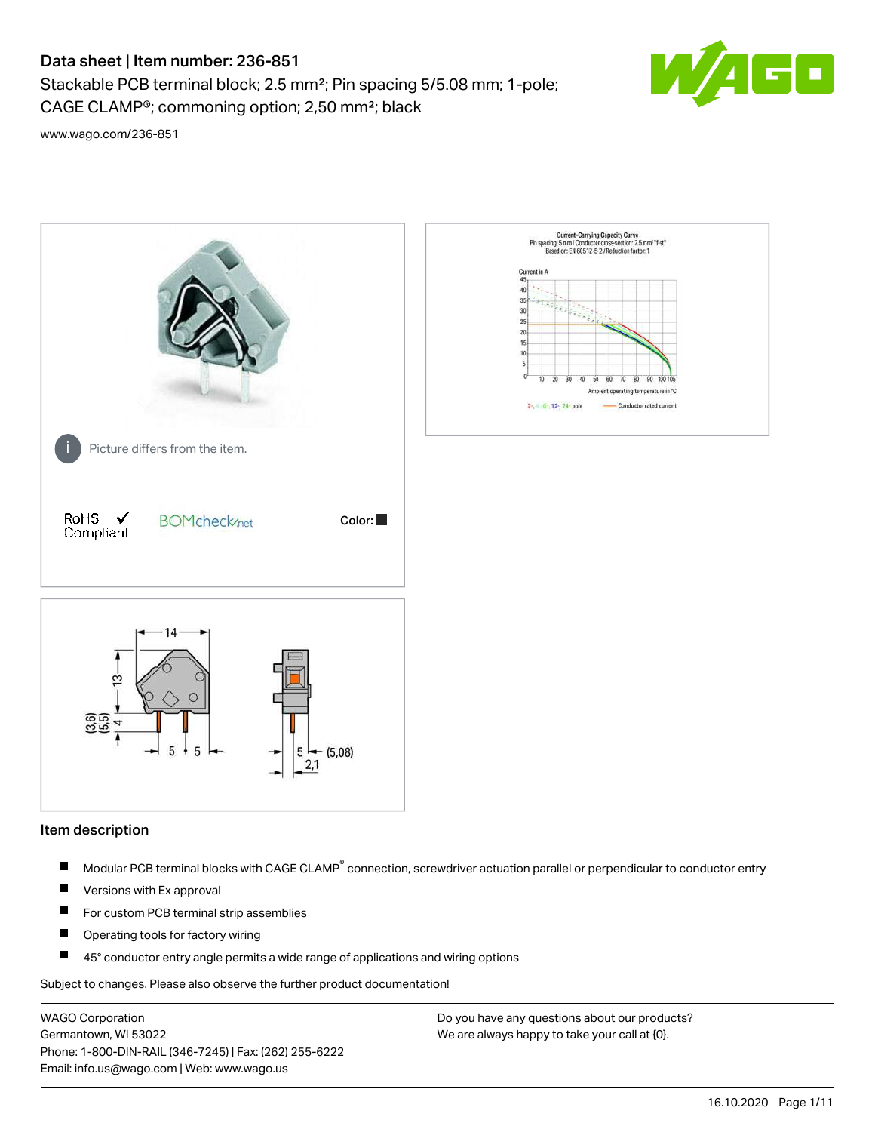Stackable PCB terminal block; 2.5 mm²; Pin spacing 5/5.08 mm; 1-pole; CAGE CLAMP®; commoning option; 2,50 mm²; black



[www.wago.com/236-851](http://www.wago.com/236-851)



#### Item description

- Modular PCB terminal blocks with CAGE CLAMP<sup>®</sup> connection, screwdriver actuation parallel or perpendicular to conductor entry П
- $\blacksquare$ Versions with Ex approval
- П For custom PCB terminal strip assemblies
- $\blacksquare$ Operating tools for factory wiring
- $\blacksquare$ 45° conductor entry angle permits a wide range of applications and wiring options

Subject to changes. Please also observe the further product documentation!

WAGO Corporation Germantown, WI 53022 Phone: 1-800-DIN-RAIL (346-7245) | Fax: (262) 255-6222 Email: info.us@wago.com | Web: www.wago.us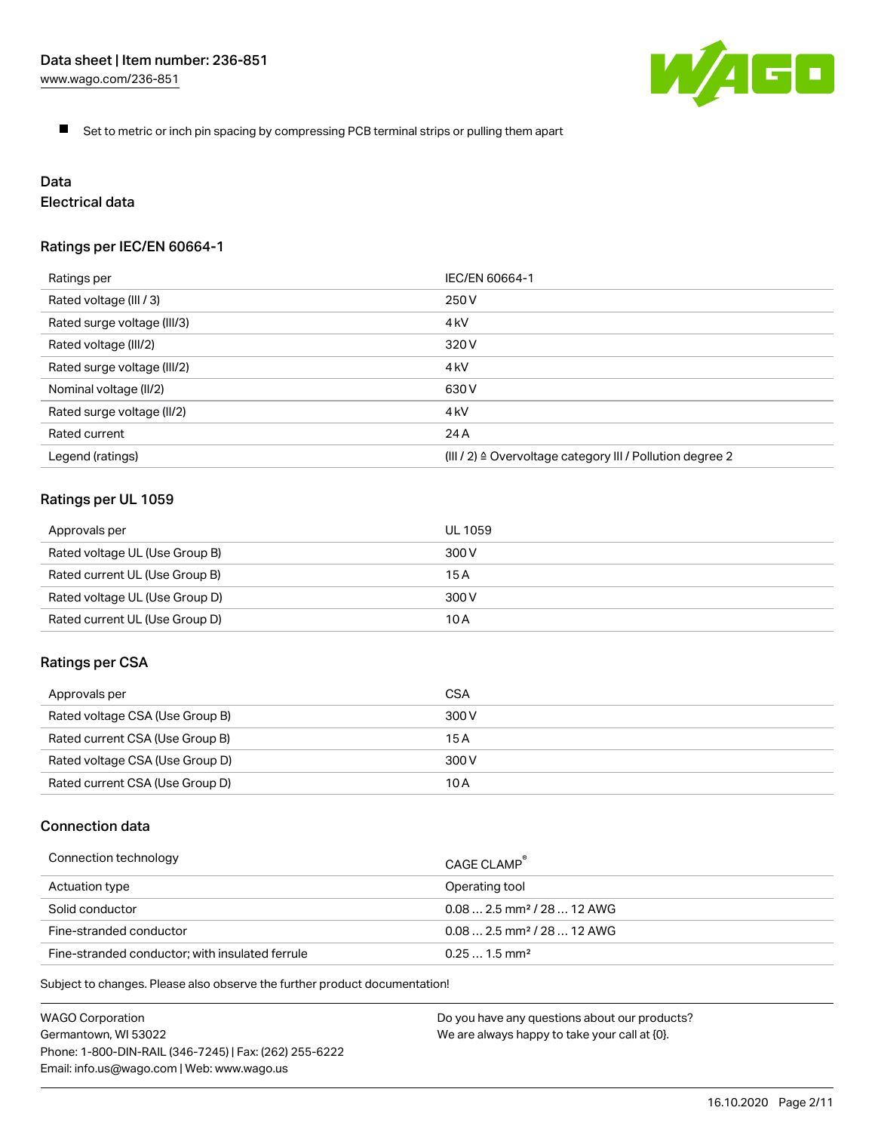

 $\blacksquare$ Set to metric or inch pin spacing by compressing PCB terminal strips or pulling them apart

# Data

# Electrical data

# Ratings per IEC/EN 60664-1

| Ratings per                 | IEC/EN 60664-1                                                        |
|-----------------------------|-----------------------------------------------------------------------|
| Rated voltage (III / 3)     | 250 V                                                                 |
| Rated surge voltage (III/3) | 4 <sub>kV</sub>                                                       |
| Rated voltage (III/2)       | 320 V                                                                 |
| Rated surge voltage (III/2) | 4 kV                                                                  |
| Nominal voltage (II/2)      | 630 V                                                                 |
| Rated surge voltage (II/2)  | 4 <sub>kV</sub>                                                       |
| Rated current               | 24 A                                                                  |
| Legend (ratings)            | $(III / 2)$ $\triangle$ Overvoltage category III / Pollution degree 2 |

## Ratings per UL 1059

| Approvals per                  | UL 1059 |
|--------------------------------|---------|
| Rated voltage UL (Use Group B) | 300 V   |
| Rated current UL (Use Group B) | 15 A    |
| Rated voltage UL (Use Group D) | 300 V   |
| Rated current UL (Use Group D) | 10 A    |

#### Ratings per CSA

| Approvals per                   | CSA   |
|---------------------------------|-------|
| Rated voltage CSA (Use Group B) | 300 V |
| Rated current CSA (Use Group B) | 15 A  |
| Rated voltage CSA (Use Group D) | 300 V |
| Rated current CSA (Use Group D) | 10 A  |

## Connection data

| Connection technology                           | CAGE CLAMP                              |
|-------------------------------------------------|-----------------------------------------|
| Actuation type                                  | Operating tool                          |
| Solid conductor                                 | $0.08$ 2.5 mm <sup>2</sup> / 28  12 AWG |
| Fine-stranded conductor                         | $0.082.5$ mm <sup>2</sup> / 28  12 AWG  |
| Fine-stranded conductor; with insulated ferrule | $0.251.5$ mm <sup>2</sup>               |

Subject to changes. Please also observe the further product documentation!

WAGO Corporation Germantown, WI 53022 Phone: 1-800-DIN-RAIL (346-7245) | Fax: (262) 255-6222 Email: info.us@wago.com | Web: www.wago.us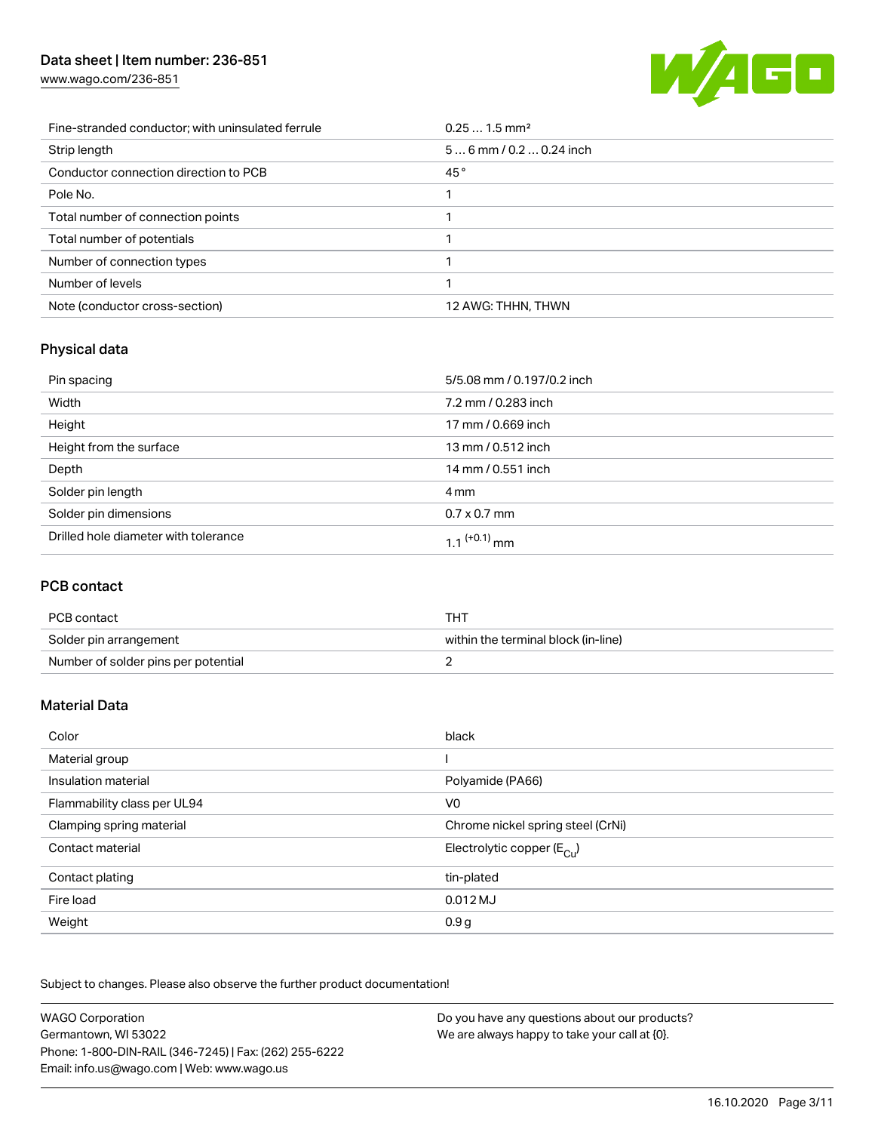[www.wago.com/236-851](http://www.wago.com/236-851)



| Fine-stranded conductor; with uninsulated ferrule | $0.251.5$ mm <sup>2</sup> |
|---------------------------------------------------|---------------------------|
| Strip length                                      | $56$ mm / 0.2  0.24 inch  |
| Conductor connection direction to PCB             | 45°                       |
| Pole No.                                          |                           |
| Total number of connection points                 |                           |
| Total number of potentials                        |                           |
| Number of connection types                        |                           |
| Number of levels                                  |                           |
| Note (conductor cross-section)                    | 12 AWG: THHN, THWN        |

# Physical data

| Pin spacing                          | 5/5.08 mm / 0.197/0.2 inch |
|--------------------------------------|----------------------------|
| Width                                | 7.2 mm / 0.283 inch        |
| Height                               | 17 mm / 0.669 inch         |
| Height from the surface              | 13 mm / 0.512 inch         |
| Depth                                | 14 mm / 0.551 inch         |
| Solder pin length                    | 4 mm                       |
| Solder pin dimensions                | $0.7 \times 0.7$ mm        |
| Drilled hole diameter with tolerance | 1.1 <sup>(+0.1)</sup> mm   |

# PCB contact

| PCB contact                         | тнт                                 |
|-------------------------------------|-------------------------------------|
| Solder pin arrangement              | within the terminal block (in-line) |
| Number of solder pins per potential |                                     |

# Material Data

| Color                       | black                                 |
|-----------------------------|---------------------------------------|
| Material group              |                                       |
| Insulation material         | Polyamide (PA66)                      |
| Flammability class per UL94 | V <sub>0</sub>                        |
| Clamping spring material    | Chrome nickel spring steel (CrNi)     |
| Contact material            | Electrolytic copper $(E_{\text{Cl}})$ |
| Contact plating             | tin-plated                            |
| Fire load                   | $0.012$ MJ                            |
| Weight                      | 0.9 <sub>g</sub>                      |

Subject to changes. Please also observe the further product documentation!

| <b>WAGO Corporation</b>                                | Do you have any questions about our products? |
|--------------------------------------------------------|-----------------------------------------------|
| Germantown, WI 53022                                   | We are always happy to take your call at {0}. |
| Phone: 1-800-DIN-RAIL (346-7245)   Fax: (262) 255-6222 |                                               |
| Email: info.us@wago.com   Web: www.wago.us             |                                               |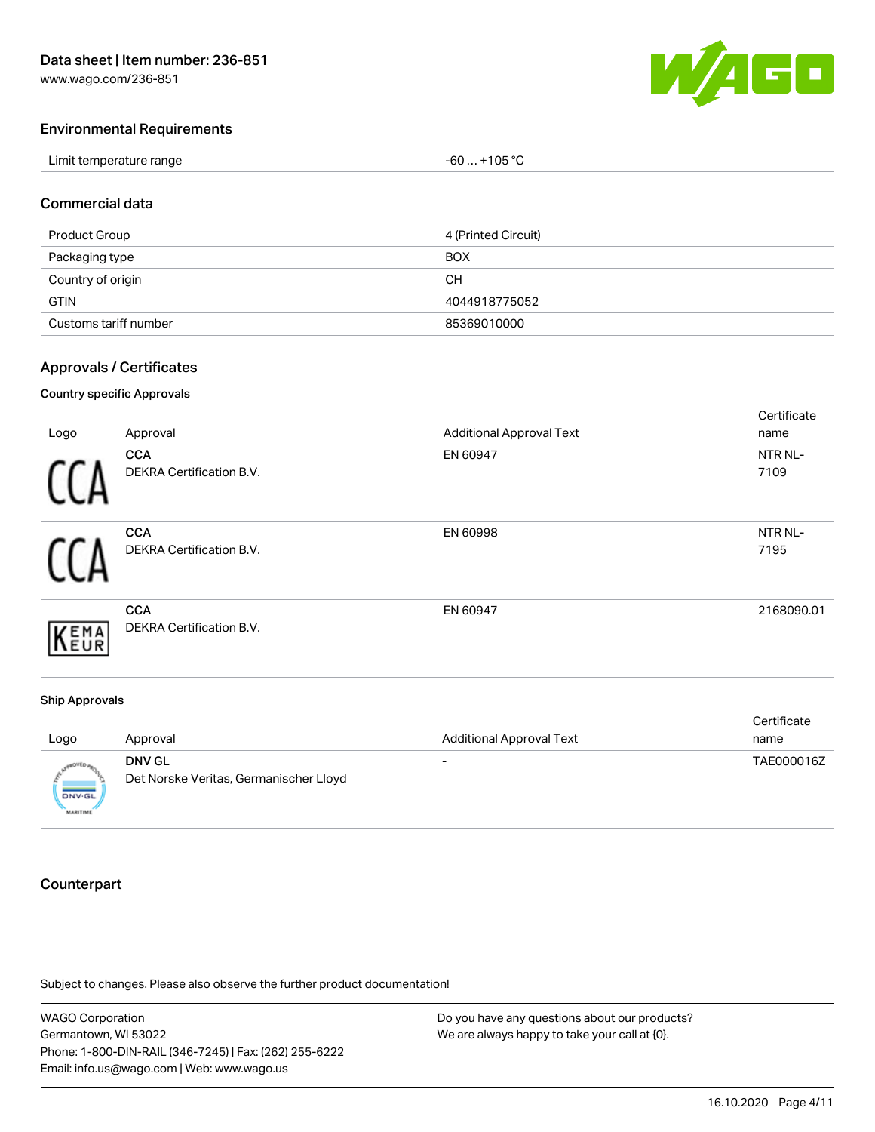

#### Environmental Requirements

| Limit temperature range | $-60+105 °C$ |
|-------------------------|--------------|
|-------------------------|--------------|

#### Commercial data

| Product Group         | 4 (Printed Circuit) |
|-----------------------|---------------------|
| Packaging type        | <b>BOX</b>          |
| Country of origin     | CН                  |
| <b>GTIN</b>           | 4044918775052       |
| Customs tariff number | 85369010000         |

#### Approvals / Certificates

#### Country specific Approvals

| Logo | Approval                                      | <b>Additional Approval Text</b> | Certificate<br>name |
|------|-----------------------------------------------|---------------------------------|---------------------|
|      | <b>CCA</b><br>DEKRA Certification B.V.        | EN 60947                        | NTR NL-<br>7109     |
|      | <b>CCA</b><br>DEKRA Certification B.V.        | EN 60998                        | NTR NL-<br>7195     |
| EMA  | <b>CCA</b><br><b>DEKRA Certification B.V.</b> | EN 60947                        | 2168090.01          |
|      |                                               |                                 |                     |

#### Ship Approvals

| Logo                             | Approval                                                | <b>Additional Approval Text</b> | Certificate<br>name |
|----------------------------------|---------------------------------------------------------|---------------------------------|---------------------|
| <b>DNV-GL</b><br><b>MARITIME</b> | <b>DNV GL</b><br>Det Norske Veritas, Germanischer Lloyd | -                               | TAE000016Z          |

### **Counterpart**

Subject to changes. Please also observe the further product documentation!

WAGO Corporation Germantown, WI 53022 Phone: 1-800-DIN-RAIL (346-7245) | Fax: (262) 255-6222 Email: info.us@wago.com | Web: www.wago.us Do you have any questions about our products? We are always happy to take your call at {0}.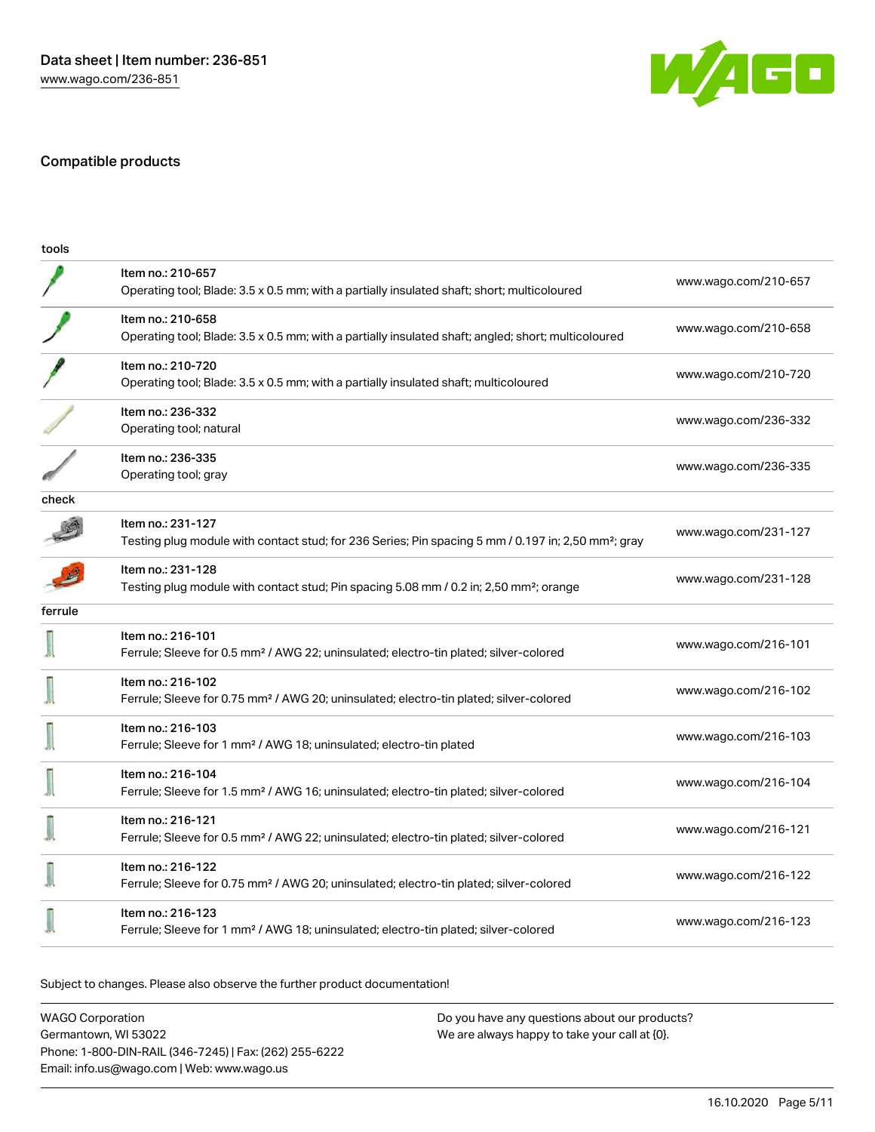

# Compatible products

| tools   |                                                                                                                                      |                      |
|---------|--------------------------------------------------------------------------------------------------------------------------------------|----------------------|
|         | Item no.: 210-657<br>Operating tool; Blade: 3.5 x 0.5 mm; with a partially insulated shaft; short; multicoloured                     | www.wago.com/210-657 |
|         | Item no.: 210-658<br>Operating tool; Blade: 3.5 x 0.5 mm; with a partially insulated shaft; angled; short; multicoloured             | www.wago.com/210-658 |
|         | Item no.: 210-720<br>Operating tool; Blade: 3.5 x 0.5 mm; with a partially insulated shaft; multicoloured                            | www.wago.com/210-720 |
|         | Item no.: 236-332<br>Operating tool; natural                                                                                         | www.wago.com/236-332 |
|         | Item no.: 236-335<br>Operating tool; gray                                                                                            | www.wago.com/236-335 |
| check   |                                                                                                                                      |                      |
|         | Item no.: 231-127<br>Testing plug module with contact stud; for 236 Series; Pin spacing 5 mm / 0.197 in; 2,50 mm <sup>2</sup> ; gray | www.wago.com/231-127 |
|         | Item no.: 231-128<br>Testing plug module with contact stud; Pin spacing 5.08 mm / 0.2 in; 2,50 mm <sup>2</sup> ; orange              | www.wago.com/231-128 |
| ferrule |                                                                                                                                      |                      |
|         | Item no.: 216-101<br>Ferrule; Sleeve for 0.5 mm <sup>2</sup> / AWG 22; uninsulated; electro-tin plated; silver-colored               | www.wago.com/216-101 |
|         | Item no.: 216-102<br>Ferrule; Sleeve for 0.75 mm <sup>2</sup> / AWG 20; uninsulated; electro-tin plated; silver-colored              | www.wago.com/216-102 |
|         | Item no.: 216-103<br>Ferrule; Sleeve for 1 mm <sup>2</sup> / AWG 18; uninsulated; electro-tin plated                                 | www.wago.com/216-103 |
|         | Item no.: 216-104<br>Ferrule; Sleeve for 1.5 mm <sup>2</sup> / AWG 16; uninsulated; electro-tin plated; silver-colored               | www.wago.com/216-104 |
|         | Item no.: 216-121<br>Ferrule; Sleeve for 0.5 mm <sup>2</sup> / AWG 22; uninsulated; electro-tin plated; silver-colored               | www.wago.com/216-121 |
|         | Item no.: 216-122<br>Ferrule; Sleeve for 0.75 mm <sup>2</sup> / AWG 20; uninsulated; electro-tin plated; silver-colored              | www.wago.com/216-122 |
|         | Item no.: 216-123<br>Ferrule; Sleeve for 1 mm <sup>2</sup> / AWG 18; uninsulated; electro-tin plated; silver-colored                 | www.wago.com/216-123 |
|         |                                                                                                                                      |                      |

Subject to changes. Please also observe the further product documentation!

WAGO Corporation Germantown, WI 53022 Phone: 1-800-DIN-RAIL (346-7245) | Fax: (262) 255-6222 Email: info.us@wago.com | Web: www.wago.us Do you have any questions about our products? We are always happy to take your call at {0}.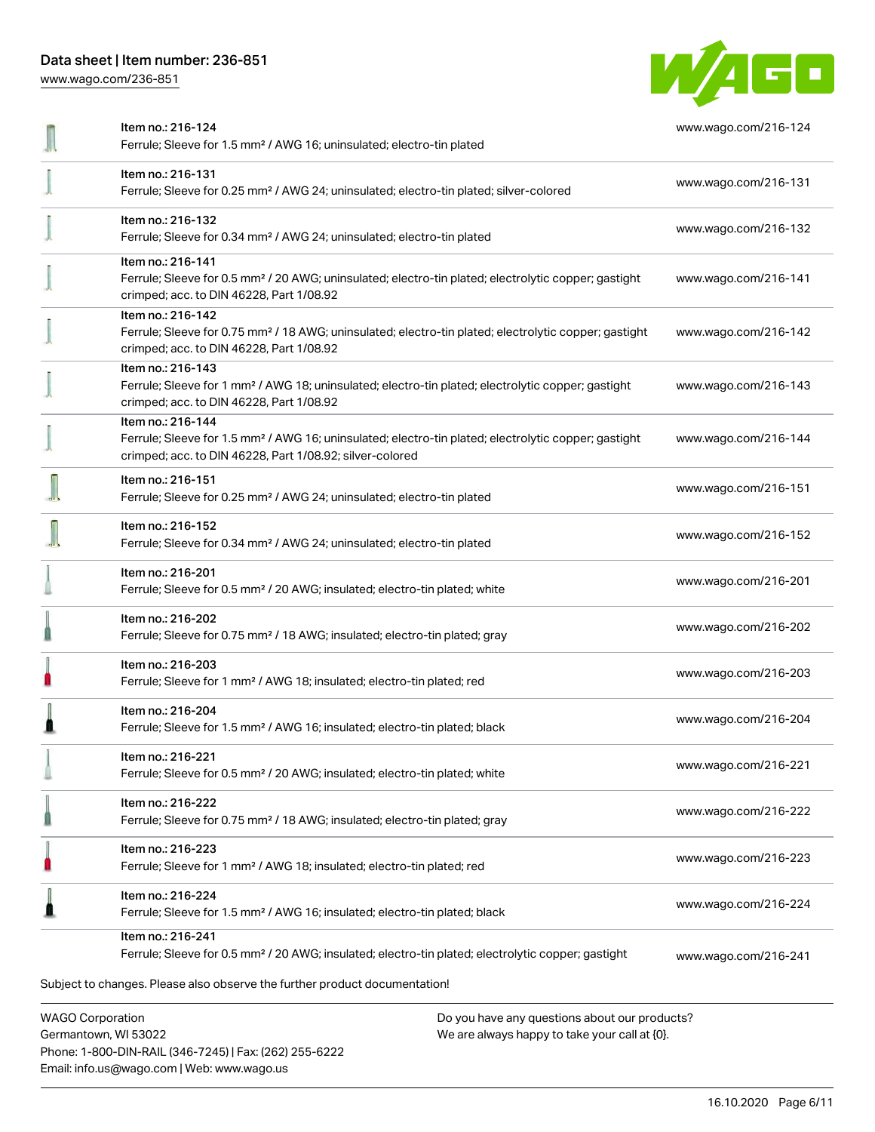[www.wago.com/236-851](http://www.wago.com/236-851)



| Item no.: 216-124<br>Ferrule; Sleeve for 1.5 mm <sup>2</sup> / AWG 16; uninsulated; electro-tin plated                                                                                            | www.wago.com/216-124 |
|---------------------------------------------------------------------------------------------------------------------------------------------------------------------------------------------------|----------------------|
| Item no.: 216-131<br>Ferrule; Sleeve for 0.25 mm <sup>2</sup> / AWG 24; uninsulated; electro-tin plated; silver-colored                                                                           | www.wago.com/216-131 |
| Item no.: 216-132<br>Ferrule; Sleeve for 0.34 mm <sup>2</sup> / AWG 24; uninsulated; electro-tin plated                                                                                           | www.wago.com/216-132 |
| Item no.: 216-141<br>Ferrule; Sleeve for 0.5 mm <sup>2</sup> / 20 AWG; uninsulated; electro-tin plated; electrolytic copper; gastight<br>crimped; acc. to DIN 46228, Part 1/08.92                 | www.wago.com/216-141 |
| Item no.: 216-142<br>Ferrule; Sleeve for 0.75 mm <sup>2</sup> / 18 AWG; uninsulated; electro-tin plated; electrolytic copper; gastight<br>crimped; acc. to DIN 46228, Part 1/08.92                | www.wago.com/216-142 |
| Item no.: 216-143<br>Ferrule; Sleeve for 1 mm <sup>2</sup> / AWG 18; uninsulated; electro-tin plated; electrolytic copper; gastight<br>crimped; acc. to DIN 46228, Part 1/08.92                   | www.wago.com/216-143 |
| Item no.: 216-144<br>Ferrule; Sleeve for 1.5 mm <sup>2</sup> / AWG 16; uninsulated; electro-tin plated; electrolytic copper; gastight<br>crimped; acc. to DIN 46228, Part 1/08.92; silver-colored | www.wago.com/216-144 |
| Item no.: 216-151<br>Ferrule; Sleeve for 0.25 mm <sup>2</sup> / AWG 24; uninsulated; electro-tin plated                                                                                           | www.wago.com/216-151 |
| Item no.: 216-152<br>Ferrule; Sleeve for 0.34 mm <sup>2</sup> / AWG 24; uninsulated; electro-tin plated                                                                                           | www.wago.com/216-152 |
| Item no.: 216-201<br>Ferrule; Sleeve for 0.5 mm <sup>2</sup> / 20 AWG; insulated; electro-tin plated; white                                                                                       | www.wago.com/216-201 |
| Item no.: 216-202<br>Ferrule; Sleeve for 0.75 mm <sup>2</sup> / 18 AWG; insulated; electro-tin plated; gray                                                                                       | www.wago.com/216-202 |
| Item no.: 216-203<br>Ferrule; Sleeve for 1 mm <sup>2</sup> / AWG 18; insulated; electro-tin plated; red                                                                                           | www.wago.com/216-203 |
| Item no.: 216-204<br>Ferrule; Sleeve for 1.5 mm <sup>2</sup> / AWG 16; insulated; electro-tin plated; black                                                                                       | www.wago.com/216-204 |
| Item no.: 216-221<br>Ferrule; Sleeve for 0.5 mm <sup>2</sup> / 20 AWG; insulated; electro-tin plated; white                                                                                       | www.wago.com/216-221 |
| Item no.: 216-222<br>Ferrule; Sleeve for 0.75 mm <sup>2</sup> / 18 AWG; insulated; electro-tin plated; gray                                                                                       | www.wago.com/216-222 |
| Item no.: 216-223<br>Ferrule; Sleeve for 1 mm <sup>2</sup> / AWG 18; insulated; electro-tin plated; red                                                                                           | www.wago.com/216-223 |
| Item no.: 216-224<br>Ferrule; Sleeve for 1.5 mm <sup>2</sup> / AWG 16; insulated; electro-tin plated; black                                                                                       | www.wago.com/216-224 |
| Item no.: 216-241<br>Ferrule; Sleeve for 0.5 mm <sup>2</sup> / 20 AWG; insulated; electro-tin plated; electrolytic copper; gastight                                                               | www.wago.com/216-241 |
| Subject to changes. Please also observe the further product documentation!                                                                                                                        |                      |
| <b>WAGO Corporation</b><br>Do you have any questions about our products?                                                                                                                          |                      |

Germantown, WI 53022 Phone: 1-800-DIN-RAIL (346-7245) | Fax: (262) 255-6222 Email: info.us@wago.com | Web: www.wago.us

We are always happy to take your call at {0}.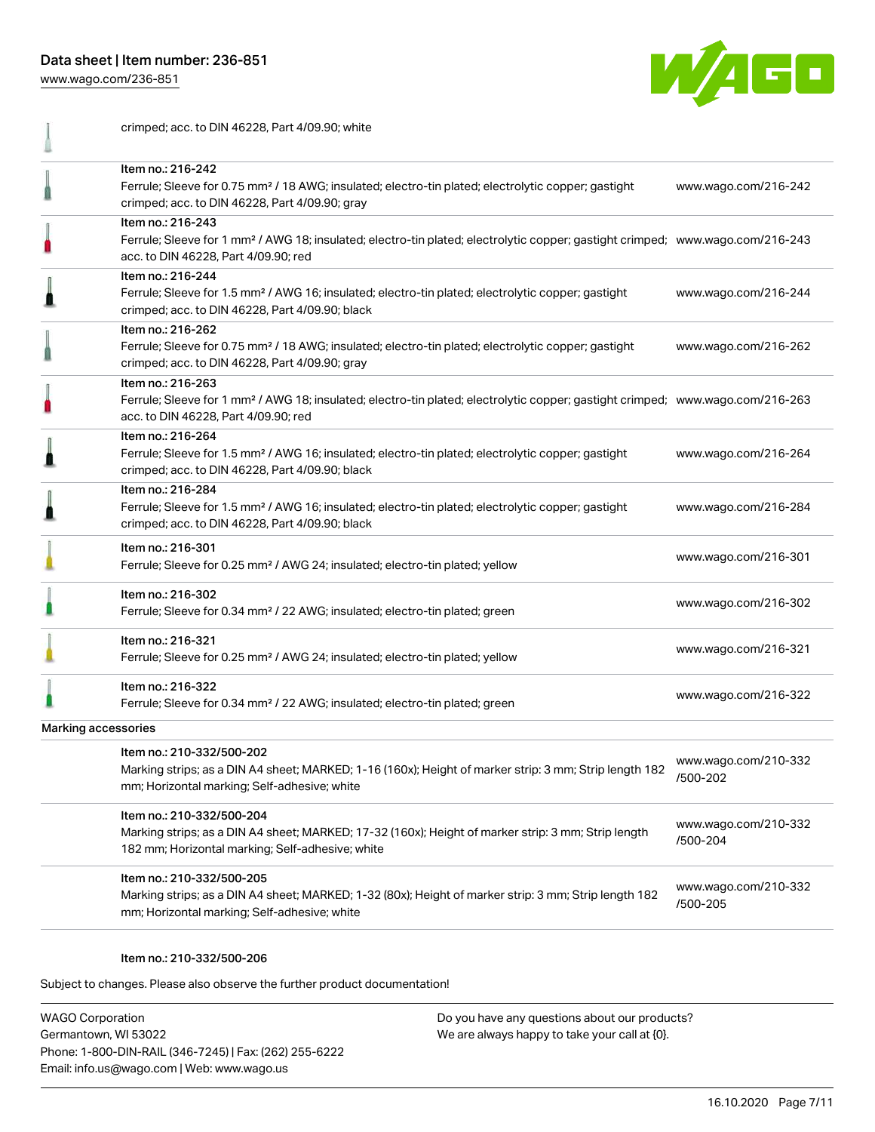crimped; acc. to DIN 46228, Part 4/09.90; white

[www.wago.com/236-851](http://www.wago.com/236-851)



Item no.: 216-242 Ferrule; Sleeve for 0.75 mm² / 18 AWG; insulated; electro-tin plated; electrolytic copper; gastight [www.wago.com/216-242](http://www.wago.com/216-242) ₫ crimped; acc. to DIN 46228, Part 4/09.90; gray Item no.: 216-243 Ferrule; Sleeve for 1 mm² / AWG 18; insulated; electro-tin plated; electrolytic copper; gastight crimped; [www.wago.com/216-243](http://www.wago.com/216-243) acc. to DIN 46228, Part 4/09.90; red Item no.: 216-244 Ferrule; Sleeve for 1.5 mm² / AWG 16; insulated; electro-tin plated; electrolytic copper; gastight [www.wago.com/216-244](http://www.wago.com/216-244) ≞ crimped; acc. to DIN 46228, Part 4/09.90; black Item no.: 216-262 Ferrule; Sleeve for 0.75 mm² / 18 AWG; insulated; electro-tin plated; electrolytic copper; gastight [www.wago.com/216-262](http://www.wago.com/216-262) 0 crimped; acc. to DIN 46228, Part 4/09.90; gray Item no.: 216-263  $\mathbb{I}$ Ferrule; Sleeve for 1 mm² / AWG 18; insulated; electro-tin plated; electrolytic copper; gastight crimped; [www.wago.com/216-263](http://www.wago.com/216-263) acc. to DIN 46228, Part 4/09.90; red Item no.: 216-264 Ferrule; Sleeve for 1.5 mm² / AWG 16; insulated; electro-tin plated; electrolytic copper; gastight [www.wago.com/216-264](http://www.wago.com/216-264) crimped; acc. to DIN 46228, Part 4/09.90; black Item no.: 216-284 Ferrule; Sleeve for 1.5 mm² / AWG 16; insulated; electro-tin plated; electrolytic copper; gastight [www.wago.com/216-284](http://www.wago.com/216-284) crimped; acc. to DIN 46228, Part 4/09.90; black Item no.: 216-301 Ferrule; Sleeve for 0.25 mm² / AWG 24; insulated; electro-tin plated; yellow [www.wago.com/216-301](http://www.wago.com/216-301) Item no.: 216-302 Ferrule; Sleeve for 0.34 mm² / 22 AWG; insulated; electro-tin plated; green [www.wago.com/216-302](http://www.wago.com/216-302) Item no.: 216-321 Ferrule; Sleeve for 0.25 mm² / AWG 24; insulated; electro-tin plated; yellow [www.wago.com/216-321](http://www.wago.com/216-321) Item no.: 216-322 Ferrule; Sleeve for 0.34 mm² / 22 AWG; insulated; electro-tin plated; green [www.wago.com/216-322](http://www.wago.com/216-322) Marking accessories Item no.: 210-332/500-202 [www.wago.com/210-332](http://www.wago.com/210-332/500-202) Marking strips; as a DIN A4 sheet; MARKED; 1-16 (160x); Height of marker strip: 3 mm; Strip length 182 [/500-202](http://www.wago.com/210-332/500-202) mm; Horizontal marking; Self-adhesive; white Item no.: 210-332/500-204 [www.wago.com/210-332](http://www.wago.com/210-332/500-204) Marking strips; as a DIN A4 sheet; MARKED; 17-32 (160x); Height of marker strip: 3 mm; Strip length [/500-204](http://www.wago.com/210-332/500-204) 182 mm; Horizontal marking; Self-adhesive; white Item no.: 210-332/500-205 [www.wago.com/210-332](http://www.wago.com/210-332/500-205) Marking strips; as a DIN A4 sheet; MARKED; 1-32 (80x); Height of marker strip: 3 mm; Strip length 182 [/500-205](http://www.wago.com/210-332/500-205) mm; Horizontal marking; Self-adhesive; white

#### Item no.: 210-332/500-206

Subject to changes. Please also observe the further product documentation!

WAGO Corporation Germantown, WI 53022 Phone: 1-800-DIN-RAIL (346-7245) | Fax: (262) 255-6222 Email: info.us@wago.com | Web: www.wago.us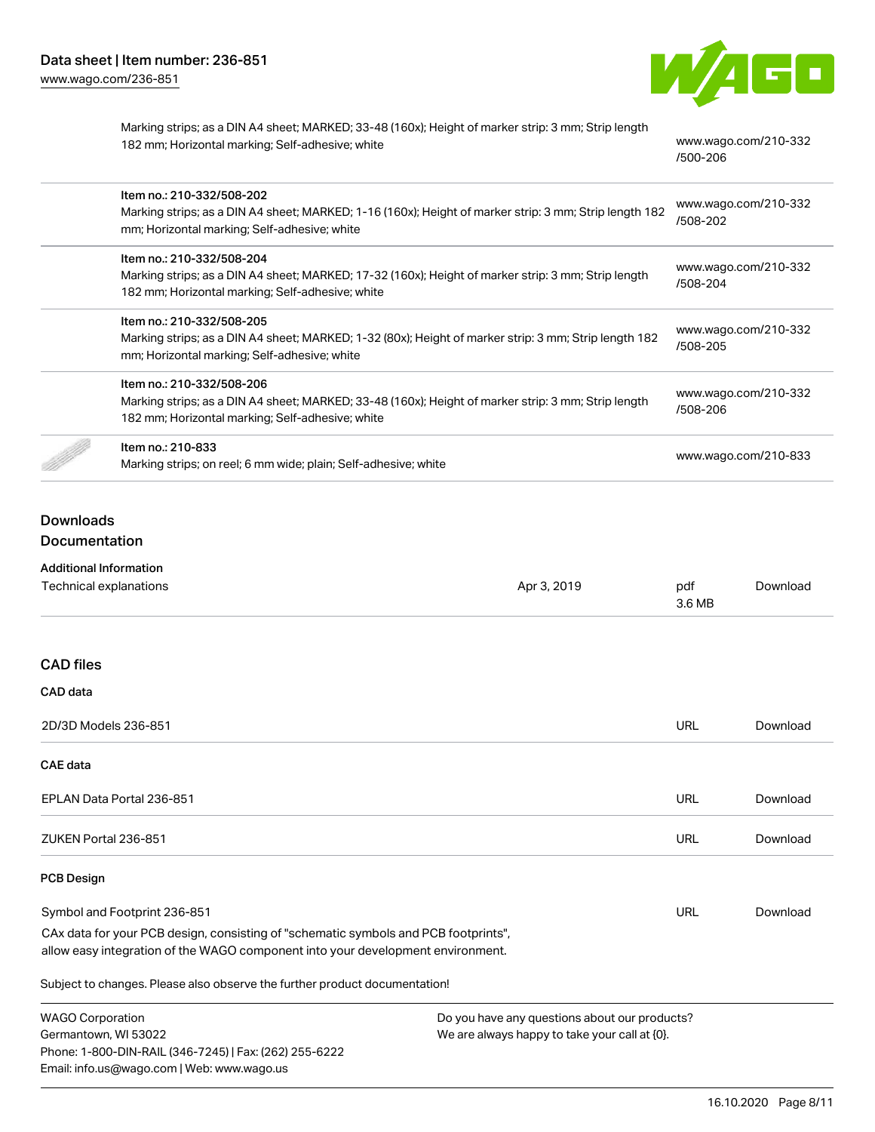

Marking strips; as a DIN A4 sheet; MARKED; 33-48 (160x); Height of marker strip: 3 mm; Strip length 182 mm; Horizontal marking; Self-adhesive; white [www.wago.com/210-332](http://www.wago.com/210-332/500-206)

[/500-206](http://www.wago.com/210-332/500-206)

| Item no.: 210-332/508-202<br>Marking strips; as a DIN A4 sheet; MARKED; 1-16 (160x); Height of marker strip: 3 mm; Strip length 182<br>mm; Horizontal marking; Self-adhesive; white  | www.wago.com/210-332<br>/508-202 |
|--------------------------------------------------------------------------------------------------------------------------------------------------------------------------------------|----------------------------------|
| Item no.: 210-332/508-204<br>Marking strips; as a DIN A4 sheet; MARKED; 17-32 (160x); Height of marker strip: 3 mm; Strip length<br>182 mm; Horizontal marking; Self-adhesive; white | www.wago.com/210-332<br>/508-204 |
| Item no.: 210-332/508-205<br>Marking strips; as a DIN A4 sheet; MARKED; 1-32 (80x); Height of marker strip: 3 mm; Strip length 182<br>mm; Horizontal marking; Self-adhesive; white   | www.wago.com/210-332<br>/508-205 |
| Item no.: 210-332/508-206<br>Marking strips; as a DIN A4 sheet; MARKED; 33-48 (160x); Height of marker strip: 3 mm; Strip length<br>182 mm; Horizontal marking; Self-adhesive; white | www.wago.com/210-332<br>/508-206 |
| Item no.: 210-833<br>Marking strips; on reel; 6 mm wide; plain; Self-adhesive; white                                                                                                 | www.wago.com/210-833             |

# **Downloads** Documentation

Phone: 1-800-DIN-RAIL (346-7245) | Fax: (262) 255-6222

Email: info.us@wago.com | Web: www.wago.us

| <b>Additional Information</b>                                                                                                                                          |                                               |               |          |
|------------------------------------------------------------------------------------------------------------------------------------------------------------------------|-----------------------------------------------|---------------|----------|
| Technical explanations                                                                                                                                                 | Apr 3, 2019                                   | pdf<br>3.6 MB | Download |
|                                                                                                                                                                        |                                               |               |          |
| <b>CAD files</b>                                                                                                                                                       |                                               |               |          |
| CAD data                                                                                                                                                               |                                               |               |          |
| 2D/3D Models 236-851                                                                                                                                                   |                                               | URL           | Download |
| <b>CAE data</b>                                                                                                                                                        |                                               |               |          |
| EPLAN Data Portal 236-851                                                                                                                                              |                                               | URL           | Download |
| ZUKEN Portal 236-851                                                                                                                                                   |                                               | URL           | Download |
| <b>PCB Design</b>                                                                                                                                                      |                                               |               |          |
| Symbol and Footprint 236-851                                                                                                                                           |                                               | URL           | Download |
| CAx data for your PCB design, consisting of "schematic symbols and PCB footprints",<br>allow easy integration of the WAGO component into your development environment. |                                               |               |          |
| Subject to changes. Please also observe the further product documentation!                                                                                             |                                               |               |          |
| <b>WAGO Corporation</b>                                                                                                                                                | Do you have any questions about our products? |               |          |
| We are always happy to take your call at $[0]$ .<br>Germantown, WI 53022                                                                                               |                                               |               |          |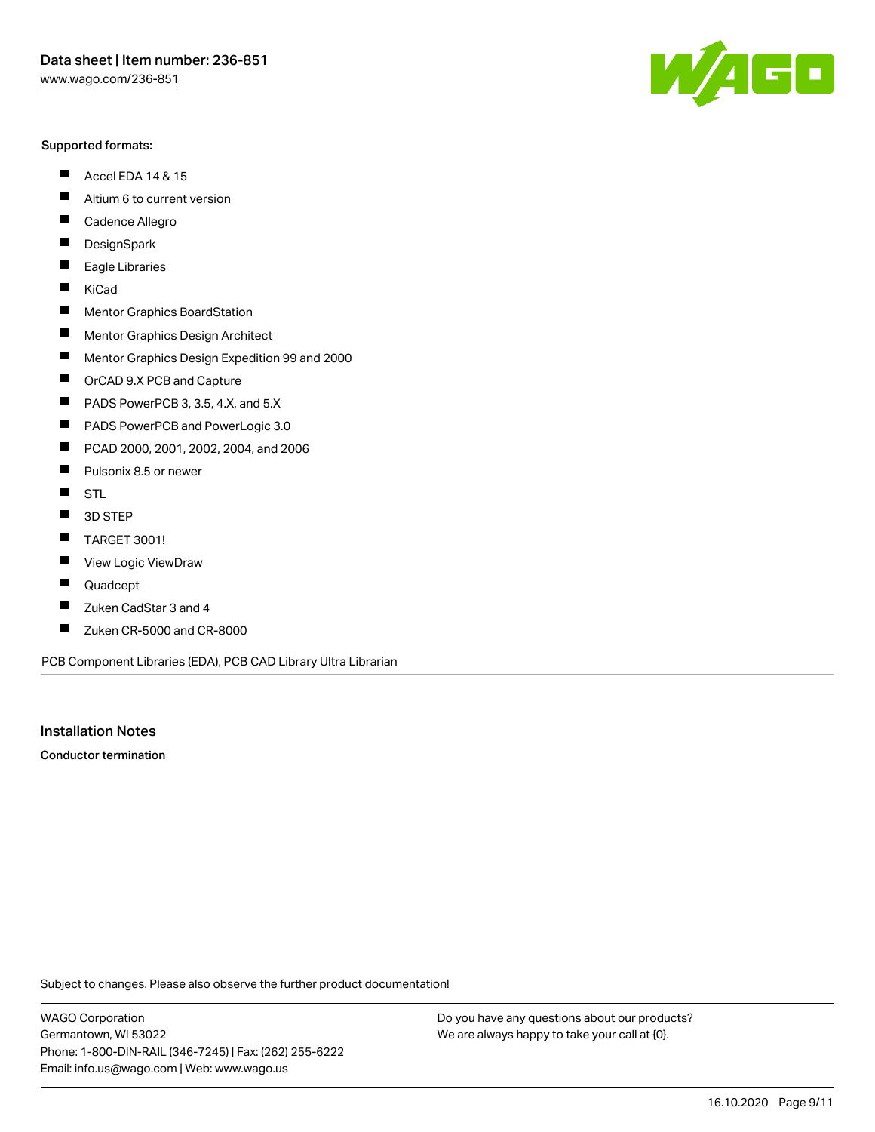#### Supported formats:

- $\blacksquare$ Accel EDA 14 & 15
- $\blacksquare$ Altium 6 to current version
- $\blacksquare$ Cadence Allegro
- $\blacksquare$ **DesignSpark**
- $\blacksquare$ Eagle Libraries
- $\blacksquare$ KiCad
- $\blacksquare$ Mentor Graphics BoardStation
- $\blacksquare$ Mentor Graphics Design Architect
- $\blacksquare$ Mentor Graphics Design Expedition 99 and 2000
- $\blacksquare$ OrCAD 9.X PCB and Capture
- $\blacksquare$ PADS PowerPCB 3, 3.5, 4.X, and 5.X
- $\blacksquare$ PADS PowerPCB and PowerLogic 3.0
- $\blacksquare$ PCAD 2000, 2001, 2002, 2004, and 2006
- $\blacksquare$ Pulsonix 8.5 or newer
- $\blacksquare$ STL
- 3D STEP П
- $\blacksquare$ TARGET 3001!
- $\blacksquare$ View Logic ViewDraw
- П Quadcept
- Zuken CadStar 3 and 4  $\blacksquare$
- Zuken CR-5000 and CR-8000 П

PCB Component Libraries (EDA), PCB CAD Library Ultra Librarian

Installation Notes

Conductor termination

Subject to changes. Please also observe the further product documentation!

WAGO Corporation Germantown, WI 53022 Phone: 1-800-DIN-RAIL (346-7245) | Fax: (262) 255-6222 Email: info.us@wago.com | Web: www.wago.us

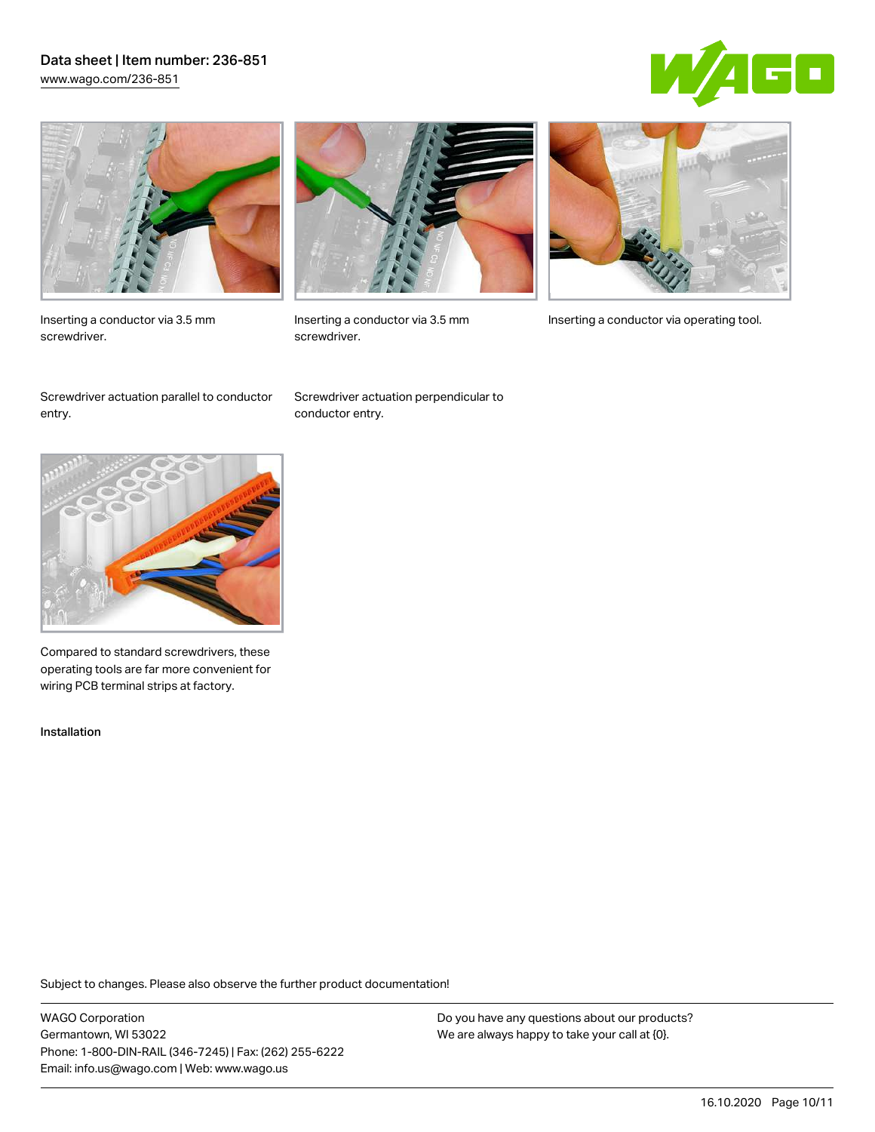### Data sheet | Item number: 236-851 [www.wago.com/236-851](http://www.wago.com/236-851)





Inserting a conductor via 3.5 mm screwdriver.



screwdriver.

Inserting a conductor via 3.5 mm Inserting a conductor via operating tool.

Screwdriver actuation parallel to conductor entry.

Screwdriver actuation perpendicular to conductor entry.



Compared to standard screwdrivers, these operating tools are far more convenient for wiring PCB terminal strips at factory.

Installation

Subject to changes. Please also observe the further product documentation!

WAGO Corporation Germantown, WI 53022 Phone: 1-800-DIN-RAIL (346-7245) | Fax: (262) 255-6222 Email: info.us@wago.com | Web: www.wago.us